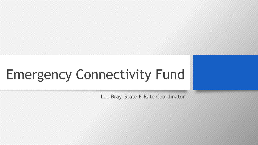# Emergency Connectivity Fund

Lee Bray, State E-Rate Coordinator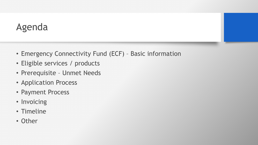#### Agenda

- Emergency Connectivity Fund (ECF) Basic information
- Eligible services / products
- Prerequisite Unmet Needs
- Application Process
- Payment Process
- Invoicing
- Timeline
- Other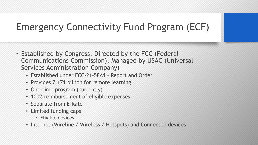# Emergency Connectivity Fund Program (ECF)

- Established by Congress, Directed by the FCC (Federal Communications Commission), Managed by USAC (Universal Services Administration Company)
	- Established under FCC-21-58A1 Report and Order
	- Provides 7.171 billion for remote learning
	- One-time program (currently)
	- 100% reimbursement of eligible expenses
	- Separate from E-Rate
	- Limited funding caps
		- Eligible devices
	- Internet (Wireline / Wireless / Hotspots) and Connected devices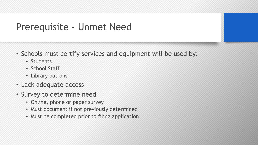#### Prerequisite – Unmet Need

- Schools must certify services and equipment will be used by:
	- Students
	- School Staff
	- Library patrons
- Lack adequate access
- Survey to determine need
	- Online, phone or paper survey
	- Must document if not previously determined
	- Must be completed prior to filing application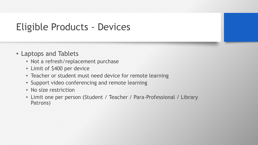## Eligible Products - Devices

- Laptops and Tablets
	- Not a refresh/replacement purchase
	- Limit of \$400 per device
	- Teacher or student must need device for remote learning
	- Support video conferencing and remote learning
	- No size restriction
	- Limit one per person (Student / Teacher / Para-Professional / Library Patrons)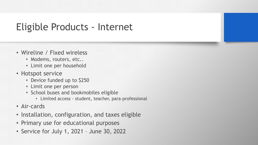## Eligible Products - Internet

- Wireline / Fixed wireless
	- Modems, routers, etc..
	- Limit one per household
- Hotspot service
	- Device funded up to \$250
	- Limit one per person
	- School buses and bookmobiles eligible
		- Limited access student, teacher, para-professional
- Air-cards
- Installation, configuration, and taxes eligible
- Primary use for educational purposes
- Service for July 1, 2021 June 30, 2022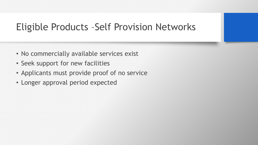## Eligible Products –Self Provision Networks

- No commercially available services exist
- Seek support for new facilities
- Applicants must provide proof of no service
- Longer approval period expected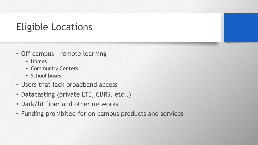# Eligible Locations

- Off campus remote learning
	- Homes
	- Community Centers
	- School buses
- Users that lack broadband access
- Datacasting (private LTE, CBRS, etc..)
- Dark/lit fiber and other networks
- Funding prohibited for on-campus products and services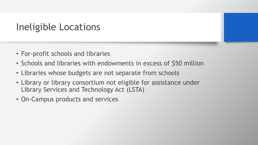## Ineligible Locations

- For-profit schools and libraries
- Schools and libraries with endowments in excess of \$50 million
- Libraries whose budgets are not separate from schools
- Library or library consortium not eligible for assistance under Library Services and Technology Act (LSTA)
- On-Campus products and services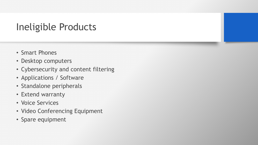# Ineligible Products

- Smart Phones
- Desktop computers
- Cybersecurity and content filtering
- Applications / Software
- Standalone peripherals
- Extend warranty
- Voice Services
- Video Conferencing Equipment
- Spare equipment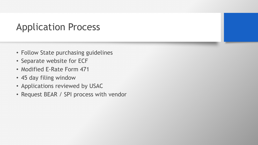#### Application Process

- Follow State purchasing guidelines
- Separate website for ECF
- Modified E-Rate Form 471
- 45 day filing window
- Applications reviewed by USAC
- Request BEAR / SPI process with vendor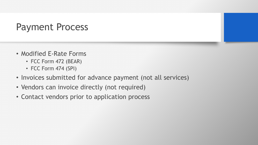### Payment Process

- Modified E-Rate Forms
	- FCC Form 472 (BEAR)
	- FCC Form 474 (SPI)
- Invoices submitted for advance payment (not all services)
- Vendors can invoice directly (not required)
- Contact vendors prior to application process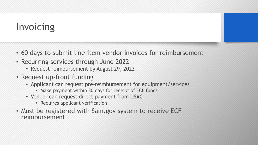# Invoicing

- 60 days to submit line-item vendor invoices for reimbursement
- Recurring services through June 2022
	- Request reimbursement by August 29, 2022
- Request up-front funding
	- Applicant can request pre-reimbursement for equipment/services
		- Make payment within 30 days for receipt of ECF funds
	- Vendor can request direct payment from USAC
		- Requires applicant verification
- Must be registered with Sam.gov system to receive ECF reimbursement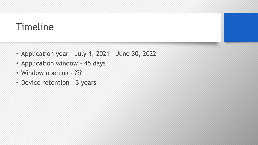# Timeline

- Application year July 1, 2021 June 30, 2022
- Application window 45 days
- Window opening ???
- Device retention 3 years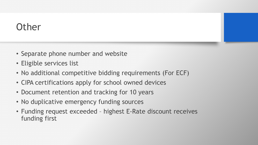## **Other**

- Separate phone number and website
- Eligible services list
- No additional competitive bidding requirements (For ECF)
- CIPA certifications apply for school owned devices
- Document retention and tracking for 10 years
- No duplicative emergency funding sources
- Funding request exceeded highest E-Rate discount receives funding first